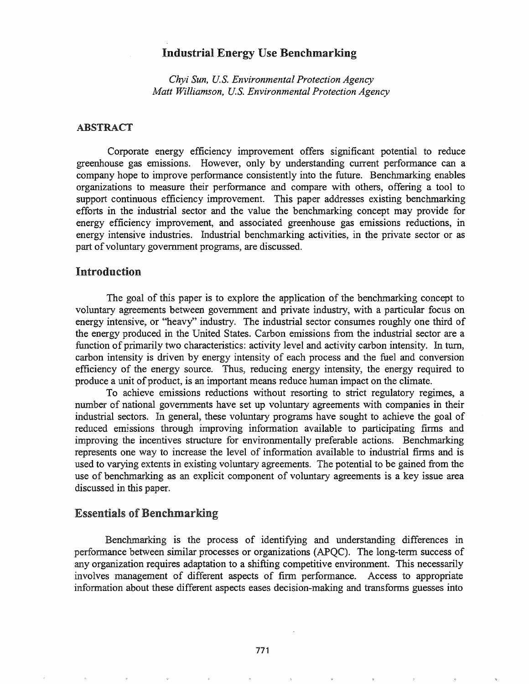# Industrial Energy Use Benchmarking

*Chyi Sun, U.S. Environmental Protection Agency Matt Williamson, U.S. Environmental Protection Agency*

### ABSTRACT

Corporate energy efficiency improvement offers significant potential to reduce greenhouse gas emissions. However, only by understanding current performance can a company hope to improve performance consistently into the future. Benchmarking enables organizations to measure their perfonnance and compare with others, offering a tool to support continuous efficiency improvement. This paper addresses existing benchmarking efforts in the industrial sector and the value the benchmarking concept may provide for energy efficiency improvement, and associated greenhouse gas emissions reductions, in energy intensive industries. Industrial benchmarking activities, in the private sector or as part of voluntary government programs, are discussed.

## Introduction

The goal of this paper is to explore the application of the benchmarking concept to voluntary agreements between government and private industry, with a particular focus on energy intensive, or "heavy" industry. The industrial sector consumes roughly one third of the energy produced in the United States. Carbon emissions from the industrial sector are a function of primarily two characteristics: activity level and activity carbon intensity. In tum, carbon intensity is driven by energy intensity of each process and the fuel and conversion efficiency of the energy source. Thus, reducing energy intensity, the energy required to produce a unit of product, is an important means reduce human impact on the climate.

To achieve emissions reductions without resorting to strict regulatory regimes, a number of national governments have set up voluntary agreements with companies in their industrial sectors. In general, these voluntary programs have sought to achieve the goal of reduced emissions through improving information available to participating finns and improving the incentives structure for environmentally preferable actions. Benchmarking represents one way to increase the level of information available to industrial firms and is used to varying extents in existing voluntary agreements. The potential to be gained from the use of benchmarking as an explicit component of voluntary agreements is a key issue area discussed in this paper.

## Essentials of Benchmarking

Benchmarking is the process of identifying and understanding differences in perfonnance between similar processes or organizations (APQC). The long-term success of any organization requires adaptation to a shifting competitive environment. This necessarily involves management of different aspects of firm performance. Access to appropriate information about these different aspects eases decision-making and transforms guesses into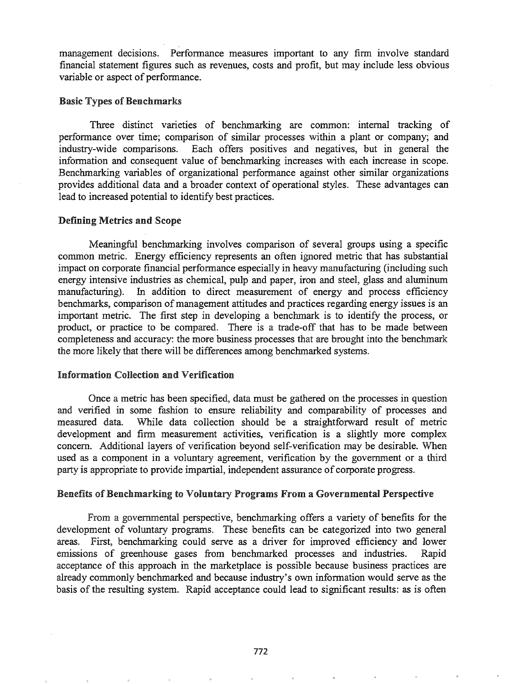management decisions. Performance measures important to any finn involve standard financial statement figures such as revenues, costs and profit, but may include less obvious variable or aspect of performance.

### **Basic Types of Benchmarks**

Three distinct varieties of benchmarking are common: internal tracking of performance over time; comparison of similar processes within a plant or company; and industry-wide comparisons. Each offers positives and' negatives, but in general the information and consequent value of benchmarking increases with each increase in scope. Benchmarking variables of organizational performance against other similar organizations provides additional data and a broader context of operational styles. These advantages can lead to increased potential to identify best practices.

#### Defining Metrics and Scope

Meaningful benchmarking involves comparison of several groups using a specific common metric. Energy efficiency represents an often ignored metric that has substantial impact on corporate financial performance especially in heavy manufacturing (including such energy intensive industries as chemical, pulp and paper, iron and steel, glass and aluminum manufacturing). In addition to direct measurement of energy and process efficiency benchmarks, comparison of management attitudes and practices regarding energy issues is an important metric. The first step in developing a benchmark is to identify the process, or product, or practice to be compared. There is a trade-off that has to be made between completeness and accuracy: the more business processes that are brought into the benchmark the more likely that there will be differences among benchmarked systems.

#### Information Collection and Verification

Once a metric has been specified, data must be gathered on the processes in question and verified in some fashion to ensure reliability and comparability of processes and measured data. While data collection should be a straightforward result of metric development and firm measurement activities, verification is a slightly more complex concern. Additional layers of verification beyond self-verification may be desirable. When used as a component in a voluntary agreement, verification by the government or a third party is appropriate to provide impartial, independent assurance of corporate progress.

### Benefits of Benchmarking to Voluntary Programs From a Governmental Perspective

From a governmental perspective, benchmarking offers a variety of benefits for the development of voluntary programs. These benefits can be categorized into two general areas. First, benchmarking could serve as a driver for improved efficiency and lower emissions of greenhouse gases from benchmarked processes and industries. Rapid acceptance of this approach in the marketplace is possible because business practices are already commonly benchmarked and because industry's own information would serve as the basis of the resulting system. Rapid acceptance could lead to significant results: as is often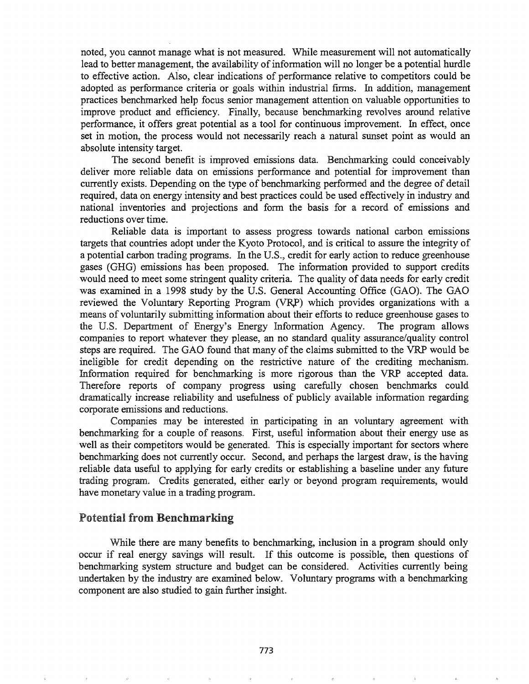noted, you cannot manage what is not measured. While measurement will not automatically lead to better management, the availability of information will no longer be a potential hurdle to effective action. Also, clear indications of performance relative to competitors could be adopted as performance criteria or goals within industrial firms. In addition, management practices benchmarked help focus senior management attention on valuable opportunities to improve product and efficiency. Finally, because benchmarking revolves around relative performance, it offers great potential as a tool for continuous improvement. In effect, once set in motion, the process would not necessarily reach a natural sunset point as would an absolute intensity target.

The second benefit is improved emissions data. Benchmarking could conceivably deliver more reliable data on emissions perfonnance and potential for improvement than currently exists. Depending on the type of benchmarking performed and the degree of detail required, data on energy intensity and best practices could be used effectively in industry and national inventories and projections and fonn the basis for a record of emissions and reductions over time.

Reliable data is important to assess progress towards national carbon emissions targets that countries adopt under the Kyoto Protocol, and is critical to assure the integrity of a potential carbon trading programs. In the U.S., credit for early action to reduce greenhouse gases (GHG) emissions has been proposed. The information provided to support credits would need to meet some stringent quality criteria. The quality of data needs for early credit was examined in a 1998 study by the U.S. General Accounting Office (GAO). The GAO reviewed the Voluntary Reporting Program (VRP) which provides organizations with a means of voluntarily submitting infonnation about their efforts to reduce greenhouse gases to the U.S. Department of Energy's Energy Information Agency. The program allows companies to report whatever they please, an no standard quality assurance/quality control steps are required. The GAO found that many of the claims submitted to the VRP would be ineligible for credit depending on the restrictive nature of the crediting mechanism. Information required for benchmarking is more rigorous than the VRP accepted data. Therefore reports of company progress using carefully chosen benchmarks could dramatically increase reliability and usefulness of publicly available information regarding corporate emissions and reductions.

Companies may be interested in participating in an voluntary agreement with benchmarking for a couple of reasons. First, useful information about their energy use as well as their competitors would be generated. This is especially important for sectors where benchmarking does not currently occur. Second, and perhaps the largest draw, is the having reliable data useful to applying for early credits or establishing a baseline under any future trading program. Credits generated, either early or beyond program requirements, would have monetary value in a trading program.

## Potential from Benchmarking

While there are many benefits to benchmarking, inclusion in a program should only occur if real energy savings will result. If this outcome is possible, then questions of benchmarking system structure and budget can be considered. Activities currently being undertaken by the industry are examined below. Voluntary programs with a benchmarking component are also studied to gain further insight.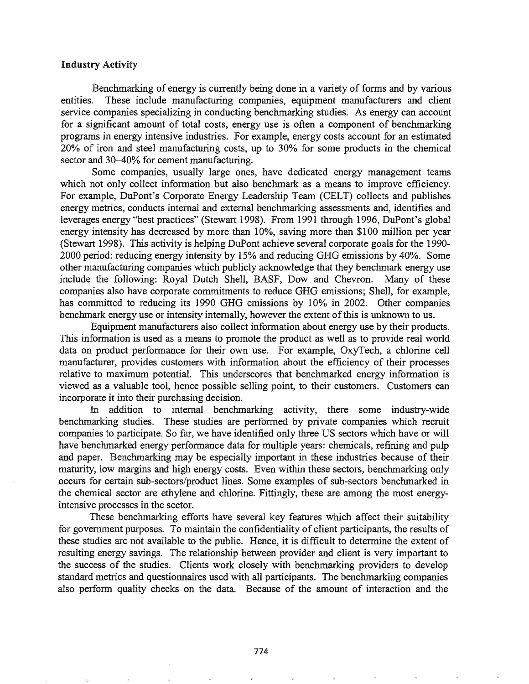#### Industry Activity

Benchmarking of energy is currently being done in a variety of forms and by various entities. These include manufacturing companies, equipment manufacturers and client service companies specializing in conducting benchmarking studies. As energy can account for a significant amount of total costs, energy use is often a component of benchmarking programs in energy intensive industries. For example, energy costs account for an estimated 20% of iron and steel manufacturing costs, up to 30% for some products in the chemical sector and 30–40% for cement manufacturing.

Some companies, usually large ones, have dedicated energy management teams which not only collect information but also benchmark as a means to improve efficiency. For example, DuPont's Corporate Energy Leadership Team (CELT) collects and publishes energy metrics, conducts internal and external benchmarking assessments and, identifies and leverages energy "best practices" (Stewart 1998).. From 1991 through 1996, DuPont's global energy intensity has decreased by more than 10%, saving more than \$100 million per year (Stewart 1998). This activity is helping DuPont achieve several corporate goals for the 1990- 2000 period: reducing energy intensity by 15% and reducing GHG emissions by 40%. Some other manufacturing companies which publicly acknowledge that they benchmark energy use include the following: Royal Dutch Shell, BASF, Dow and Chevron. Many of these companies also have corporate commitments to reduce GHG emissions; Shell, for example, has committed to reducing its 1990 GHG emissions by 10% in 2002. Other companies benchmark energy use or intensity internally, however the extent of this is unknown to us.

Equipment manufacturers also collect infonnation about energy use by their products. This information is used as a means to promote the product as well as to provide real world data on product performance for their own use. For example, OxyTech, a chlorine cell manufacturer, provides customers with information about the efficiency of their processes relative to maximum potential. This underscores that benchmarked energy information is viewed as a valuable tool, hence possible selling point, to their customers. Customers can incorporate it into their purchasing decision.

In addition to internal benchmarking activity, there some industry-wide benchmarking studies. These studies are perfonned by private companies which recruit companies to participate. So far, we have identified only three US sectors which have or will have benchmarked energy performance data for multiple years: chemicals, refining and pulp and paper. Benchmarking may be especially important in these industries because of their maturity, low margins and high energy costs. Even within these sectors, benchmarking only occurs for certain sub-sectors/product lines. Some examples of sub-sectors benchmarked in the chemical sector are ethylene and chlorine. Fittingly, these are among the most energyintensive processes in the sector.

These benchmarking efforts have several key features which affect their suitability for government purposes. To maintain the confidentiality of client participants, the results of these studies are not available to the public. Hence, it is difficult to determine the extent of resulting energy savings. The relationship between provider and client is very important to the success of the studies. Clients work closely with benchmarking providers to develop standard metrics and questionnaires used with all participants. The benchmarking companies also perform quality checks on the data. Because of the amount of interaction and the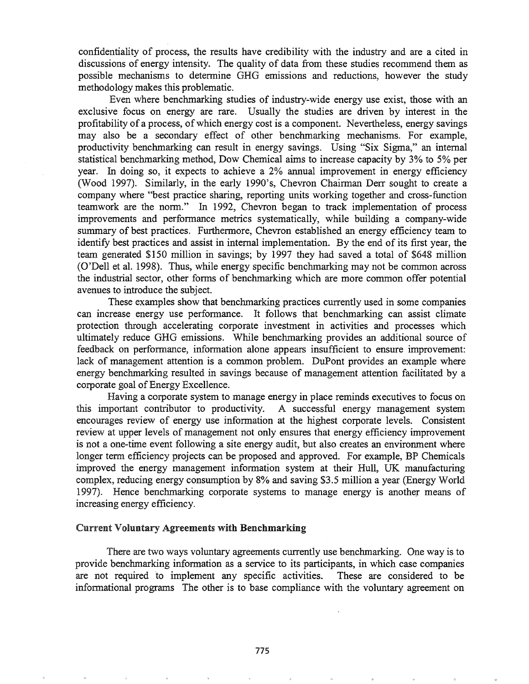confidentiality of process, the results have credibility with the industry and are a cited in discussions of energy intensity. The quality of data from these studies recommend them as possible mechanisms to detennine GHG emissions and reductions, however the study methodology makes this problematic.

Even where benchmarking studies of industry-wide energy use exist, those with an exclusive focus on energy are rare. Usually the studies are driven by interest in the profitability of a process, of which energy cost is a component. Nevertheless, energy savings may also be a secondary effect of other benchmarking mechanisms. For example, productivity benchmarking can result in energy savings. Using "Six Sigma," an internal statistical benchmarking method, Dow Chemical aims to increase capacity by 3% to 5% per year. In doing so, it expects to achieve a 2% annual improvement in energy efficiency (Wood 1997). Similarly, in the early 1990's, Chevron Chairman Derr sought to create a company where "best practice sharing, reporting units working together and cross-function teamwork are the norm." In 1992, Chevron began to track implementation of process improvements and performance metrics systematically, while building a company-wide summary of best practices. Furthermore, Chevron established an energy efficiency team to identify best practices and assist in internal implementation. By the end of its first year, the team generated \$150 million in savings; by 1997 they had saved a total of \$648 million (O'Dell et al. 1998). Thus, while energy specific benchmarking may not be common across the industrial sector, other fonns of benchmarking which are more common offer potential avenues to introduce the subject.

These examples show that benchmarking practices currently used in some companies can increase energy use performance.. It follows that benchmarking can assist climate protection through accelerating corporate investment in activities and processes which ultimately reduce GHG emissions. While benchmarking provides an additional source of feedback on performance, information alone appears insufficient to ensure improvement: lack of management attention is a common problem. DuPont provides an example where energy benchmarking resulted in savings because of management attention facilitated by a corporate goal of Energy Excellence.

Having a corporate system to manage energy in place reminds executives to focus on this important contributor to productivity.. A successful energy management system encourages review of energy use information at the highest corporate levels. Consistent review at upper levels of management not only ensures that energy efficiency improvement is not a one-time event following a site energy audit, but also creates an environment where longer term efficiency projects can be proposed and approved. For example, BP Chemicals improved the energy management information system at their Hull, UK manufacturing complex, reducing energy consumption by 8% and saving \$3.5 million a year (Energy World 1997). Hence benchmarking corporate systems to manage energy is another means of increasing energy efficiency.

#### Current Voluntary Agreements with Benchmarking

There are two ways voluntary agreements currently use benchmarking. One way is to provide benchmarking information as a service to its participants, in which case companies are not required to implement any specific activities. These are considered to be informational programs The other is to base compliance with the voluntary agreement on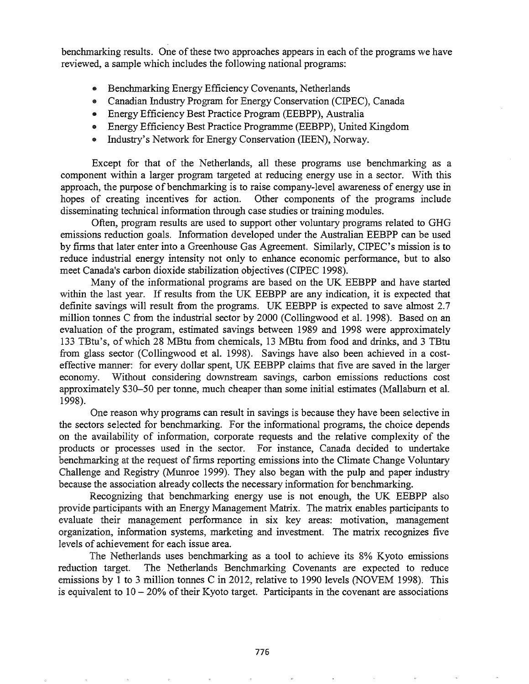benchmarking results. One of these two approaches appears in each of the programs we have reviewed, a sample which includes the following national programs:

- .. Benchmarking Energy Efficiency Covenants, Netherlands
- .. Canadian Industry Program for Energy Conservation (CIPEC), Canada
- .. Energy Efficiency Best Practice Program (EEBPP), Australia
- Energy Efficiency Best Practice Programme (EEBPP), United Kingdom
- .. Industry's Network for Energy Conservation (lEEN), Norway.

Except for that of the Netherlands, all these programs use benchmarking as a component within a larger program targeted at reducing energy use in a sector. With this approach, the purpose of benchmarking is to raise company-level awareness of energy use in hopes of creating incentives for action. Other components of the programs include disseminating technical information through case studies or training modules.

Often, program results are used to support other voluntary programs related to GHG emissions reduction goals. Information developed under the Australian EEBPP can be used by finns that later enter into a Greenhouse Gas Agreement. Similarly, CIPEC's mission is to reduce industrial energy intensity not only to enhance economic performance, but to also meet Canada's carbon dioxide stabilization objectives (CIPEC 1998).

Many of the informational programs are based on the UK EEBPP and have started within the last year. If results from the UK EEBPP are any indication, it is expected that definite savings will result from the programs. UK EEBPP is expected to save almost 2.7 million tonnes C from the industrial sector by 2000 (Collingwood et al. 1998). Based on an evaluation of the program, estimated savings between 1989 and 1998 were approximately 133 TBtu's, ofwhich 28 MBtu from chemicals, 13 MBtu from food and drinks, and 3 TBtu from glass sector (Collingwood et al. 1998). Savings have also been achieved in a costeffective manner: for every dollar spent, UK EEBPP claims that five are saved in the larger economy. Without considering downstream savings, carbon emissions reductions cost approximately \$30-50 per tonne, much cheaper than some initial estimates (Mallabum et al. 1998).

One reason why programs can result in savings is because they have been selective in the sectors selected for benchmarking. For the informational programs, the choice depends on the availability of information, corporate requests and the relative complexity of the products or processes used in the sector. For instance, Canada decided to undertake benchmarking at the request of firms reporting emissions into the Climate Change Voluntary Challenge and Registry (Munroe 1999). They also began with the pulp and paper industry because the association already collects the necessary information for benchmarking.

Recognizing that benchmarking energy use is not enough, the UK EEBPP also provide participants with an Energy Management Matrix. The matrix enables participants to evaluate their management perfonnance in six key areas: motivation, management organization, information systems, marketing and investment. The matrix recognizes five levels of achievement for each issue area.

The Netherlands uses benchmarking as a tool to achieve its 8% Kyoto emissions reduction target. The Netherlands Benchmarking Covenants are expected to reduce emissions by 1 to 3 million tonnes C in 2012, relative to 1990 levels (NOVEM 1998). This is equivalent to  $10 - 20\%$  of their Kyoto target. Participants in the covenant are associations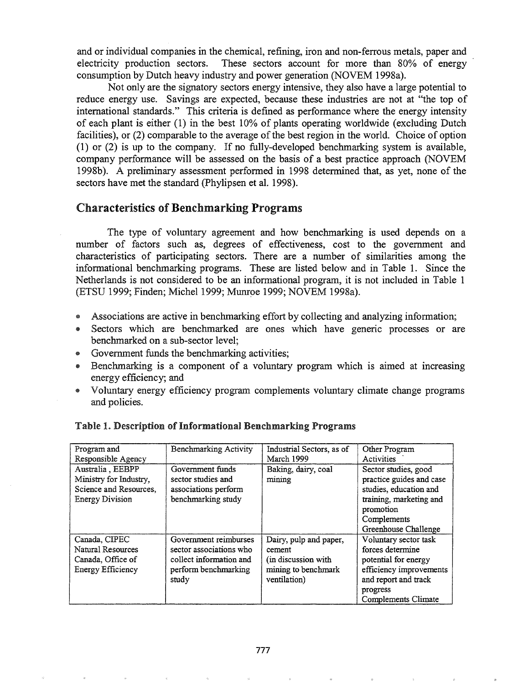and or individual companies in the chemical, refining, iron and non-ferrous metals, paper and electricity production sectors. These sectors account for more than 80% of energy consumption by Dutch heavy industry and power generation (NOVEM 1998a).

Not only are the signatory sectors energy intensive, they also have a large potential to reduce energy use. Savings are expected, because these industries are not at "the top of international standards." This criteria is defined as performance where the energy intensity of each plant is either (1) in the best 10% of plants operating worldwide (excluding Dutch facilities), or (2) comparable to the average of the best region in the world. Choice of option (1) or (2) is up to the company. If no fully-developed benchmarking system is available, company performance will be assessed on the basis of a best practice approach (NOVEM 1998b). A preliminary assessment performed in 1998 determined that, as yet, none of the sectors have met the standard (Phylipsen et al. 1998).

# **Characteristics of Benchmarking Programs**

The type of voluntary agreement and how benchmarking is used depends on a number of factors such as, degrees of effectiveness, cost to the government and characteristics of participating sectors. There are a number of similarities among the informational benchmarking programs. These are listed below and in Table 1. Since the Netherlands is not considered to be an informational program, it is not included in Table 1 (ETSU 1999; Finden; Michel 1999; Munrpe 1999; NOVEM 1998a).

- @ Associations are active in benchmarking effort by collecting and analyzing information;
- @ Sectors which are benchmarked are ones which have generic processes or are benchmarked on a sub-sector level;
- Government funds the benchmarking activities;
- @ Benchmarking is a component of a voluntary program which is aimed at increasing energy efficiency; and
- Voluntary energy efficiency program complements voluntary climate change programs and policies.

| Program and                                                                                    | Benchmarking Activity                                                                                        | Industrial Sectors, as of                                                                       | Other Program                                                                                                                                             |
|------------------------------------------------------------------------------------------------|--------------------------------------------------------------------------------------------------------------|-------------------------------------------------------------------------------------------------|-----------------------------------------------------------------------------------------------------------------------------------------------------------|
| Responsible Agency                                                                             |                                                                                                              | March 1999                                                                                      | Activities                                                                                                                                                |
| Australia, EEBPP<br>Ministry for Industry,<br>Science and Resources,<br><b>Energy Division</b> | Government funds<br>sector studies and<br>associations perform<br>benchmarking study                         | Baking, dairy, coal<br>mining                                                                   | Sector studies, good<br>practice guides and case<br>studies, education and<br>training, marketing and<br>promotion<br>Complements<br>Greenhouse Challenge |
| Canada, CIPEC<br>Natural Resources<br>Canada, Office of<br>Energy Efficiency                   | Government reimburses<br>sector associations who<br>collect information and<br>perform benchmarking<br>study | Dairy, pulp and paper,<br>cement<br>(in discussion with)<br>mining to benchmark<br>ventilation) | Voluntary sector task<br>forces determine<br>potential for energy<br>efficiency improvements<br>and report and track<br>progress<br>Complements Climate   |

## Table 1. Description of Informational Benchmarking Programs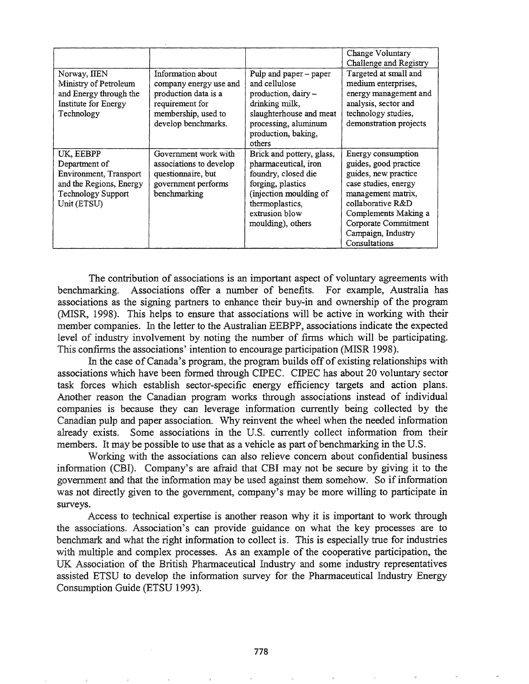|                                                                                                                             |                                                                                                                                      |                                                                                                                                                                                   | Change Voluntary<br>Challenge and Registry                                                                                                                                                                                    |
|-----------------------------------------------------------------------------------------------------------------------------|--------------------------------------------------------------------------------------------------------------------------------------|-----------------------------------------------------------------------------------------------------------------------------------------------------------------------------------|-------------------------------------------------------------------------------------------------------------------------------------------------------------------------------------------------------------------------------|
| Norway, IIEN<br>Ministry of Petroleum<br>and Energy through the<br>Institute for Energy<br>Technology                       | Information about<br>company energy use and<br>production data is a<br>requirement for<br>membership, used to<br>develop benchmarks. | Pulp and paper - paper<br>and cellulose<br>production, dairy -<br>drinking milk,<br>slaughterhouse and meat<br>processing, aluminum<br>production, baking,<br>others              | Targeted at small and<br>medium enterprises,<br>energy management and<br>analysis, sector and<br>technology studies,<br>demonstration projects                                                                                |
| UK, EEBPP<br>Department of<br>Environment, Transport<br>and the Regions, Energy<br><b>Technology Support</b><br>Unit (ETSU) | Government work with<br>associations to develop<br>questionnaire, but<br>government performs<br>benchmarking                         | Brick and pottery, glass,<br>pharmaceutical, iron<br>foundry, closed die<br>forging, plastics<br>(injection moulding of<br>thermoplastics,<br>extrusion blow<br>moulding), others | Energy consumption<br>guides, good practice<br>guides, new practice<br>case studies, energy<br>management matrix,<br>collaborative R&D<br>Complements Making a<br>Corporate Commitment<br>Campaign, Industry<br>Consultations |

The contribution of associations is an important aspect of voluntary agreements with benchmarking. Associations offer a number of benefits. For example, Australia has associations as the signing partners to enhance their buy-in and ownership of the program (MISR, 1998). This helps to ensure that associations will be active in working with their member companies. In the letter to the Australian EEBPP, associations indicate the expected level of industry involvement by noting the number of firms which will be participating. This confirms the associations' intention to encourage participation (MISR 1998).

In the case of Canada's program, the program builds off of existing relationships with associations which have been formed through CIPEC. CIPEC has about 20 voluntary sector task forces which establish sector-specific energy efficiency targets and action plans. Another reason the Canadian program works through associations instead of individual companies is because they can leverage information currently being collected by the Canadian pulp and paper association. Why reinvent the wheel when the needed information already exists. Some associations in the U.S. currently collect information from their members. It may be possible to use that as a vehicle as part of benchmarking in the U.S.

Working with the associations can also relieve concern about confidential business information (CBI). Company's are afraid that CBI may not be secure by giving it to the government and that the information may be used against them somehow. So if information was not directly given to the government, company's may be more willing to participate in surveys.

Access to technical expertise is another reason why it is important to work through the associations. Association's can provide guidance on what the key processes are to benchmark and what the right information to collect is. This is especially true for industries with multiple and complex processes. As an example of the cooperative participation, the UK Association of the British Pharmaceutical Industry and some industry representatives assisted ETSU to develop the information survey for the Pharmaceutical Industry Energy Consumption Guide (ETSU 1993).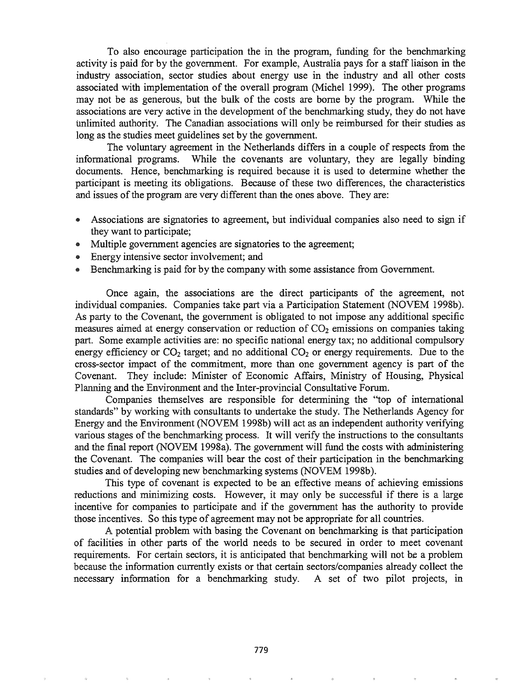To also encourage participation the in the program, funding for the benchmarking activity is paid for by the government. For example, Australia pays for a staff liaison in the industry association, sector studies about energy use in the industry and all other costs associated with implementation of the overall program (Michel 1999). The other programs may not be as generous, but the bulk of the costs are borne by the program. While the associations are very active in the development of the benchmarking study, they do not have unlimited authority. The Canadian associations will only be reimbursed for their studies as long as the studies meet guidelines set by the government.

The voluntary agreement in the Netherlands differs in a couple of respects from the informational programs. While the covenants are voluntary, they are legally binding documents. Hence, benchmarking is required because it is used to determine whether the participant is meeting its obligations. Because of these two differences, the characteristics and issues of the program are very different than the ones above. They are:

- .. Associations are signatories to agreement, but individual companies also need to sign if they want to participate;
- Multiple government agencies are signatories to the agreement;
- Energy intensive sector involvement; and
- Benchmarking is paid for by the company with some assistance from Government.

Once again, the associations are the direct participants of the agreement, not individual companies. Companies take part via a Participation Statement (NOVEM 1998b). As party to the Covenant, the government is obligated to not impose any additional specific measures aimed at energy conservation or reduction of  $CO<sub>2</sub>$  emissions on companies taking part. Some example activities are: no specific national energy tax; no additional compulsory energy efficiency or  $CO<sub>2</sub>$  target; and no additional  $CO<sub>2</sub>$  or energy requirements. Due to the cross-sector impact of the commitment, more than one government agency is part of the Covenant. They include: Minister of Economic Affairs, Ministry of Housing, Physical Planning and the Environment and the Inter-provincial Consultative Forum.

Companies themselves are responsible for determining the "top of international standards" by working with consultants to undertake the study. The Netherlands Agency for Energy and the Environment (NOVEM 1998b) will act as an independent authority verifying various stages of the benchmarking process. It will verify the instructions to the consultants and the final report (NOVEM 1998a). The government will fund the costs with administering the Covenant. The companies will bear the cost of their participation in the benchmarking studies and of developing new benchmarking systems (NOVEM 1998b).

This type of covenant is expected to be an effective means of achieving emissions reductions and minimizing costs. However, it may only be successful if there is a large incentive for companies to participate and if the government has the authority to provide those incentives. So this type of agreement may not be appropriate for all countries.

potential problem with basing the Covenant on benchmarking is that participation facilities in other parts of the world needs to be secured in order to meet covenant requirements. For certain sectors, it is anticipated that benchmarking will not be a problem because the infonnation currently exists or that certain sectors/companies already collect the necessary information for a benchmarking study. A set of two pilot projects, in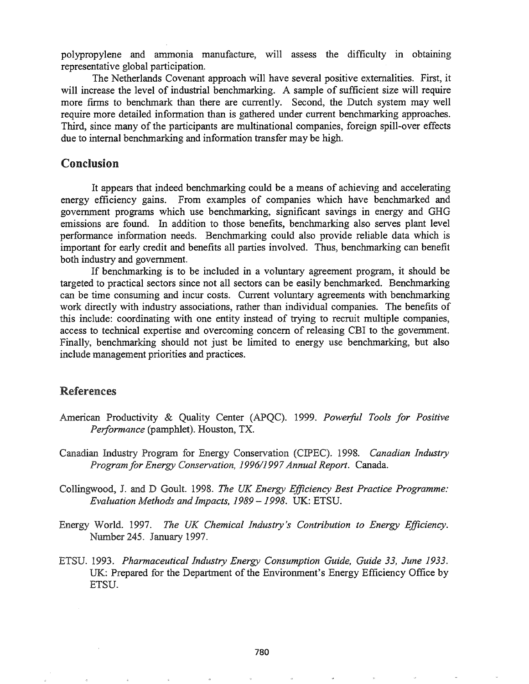polypropylene \_and ammonia manufacture, will assess the difficulty in obtaining representative global participation.

The Netherlands Covenant approach will have several positive externalities. First, it will increase the level of industrial benchmarking. A sample of sufficient size will require more firms to benchmark than there are currently. Second, the Dutch system may well require more detailed information than is gathered under current benchmarking approaches. Third, since many of the participants are multinational companies, foreign spill-over effects due to internal benchmarking and information transfer may be high.

# Conclusion

It appears that indeed benchmarking could be a means of achieving and accelerating energy efficiency gains. From examples of companies which have benchmarked and government programs which use benchmarking, significant savings in energy and GHG emissions are found. In addition to those benefits, benchmarking also serves plant level performance information needs. Benchmarking could also provide reliable data which is important for early credit and benefits all parties involved. Thus, benchmarking can benefit both industry and government.

If benchmarking is to be included in a voluntary agreement program, it should be targeted to practical sectors since not all sectors can be easily benchmarked. Benchmarking can be time consuming and incur costs. Current voluntary agreements with benchmarking work directly with industry associations, rather than individual companies. The benefits of this include: coordinating with one entity instead of trying to recruit multiple companies, access to technical expertise and overcoming concern of releasing CBI to the government. Finally, benchmarking should not just be limited to energy use benchmarking, but also include management priorities and practices.

## References

- American Productivity & Quality Center (APQC). 1999. *Powerful Tools for Positive Performance* (pamphlet). Houston, TX.
- Canadian Industry Program for Energy Conservation (CIPEC). 1998. *Canadian Industry Program for Energy Conservation,* 1996/1997*Annual Report.* Canada.
- Collingwood, J. and Goult. 1998. *The UK Energy Efficiency Best Practice Programme: Evaluation Methods and Impacts,* 1989 - 1998. UK: ETSU.
- Energy World. 1997. *The UK Chemical Industry's Contribution to Energy Efficiency.* Number 245. January 1997.
- *1993. Pharmaceutical Industry Energy Consumption Guide, Guide* 33, *June 1933.* UK: Prepared for the Department of the Environment's Energy Efficiency Office by ETSU.